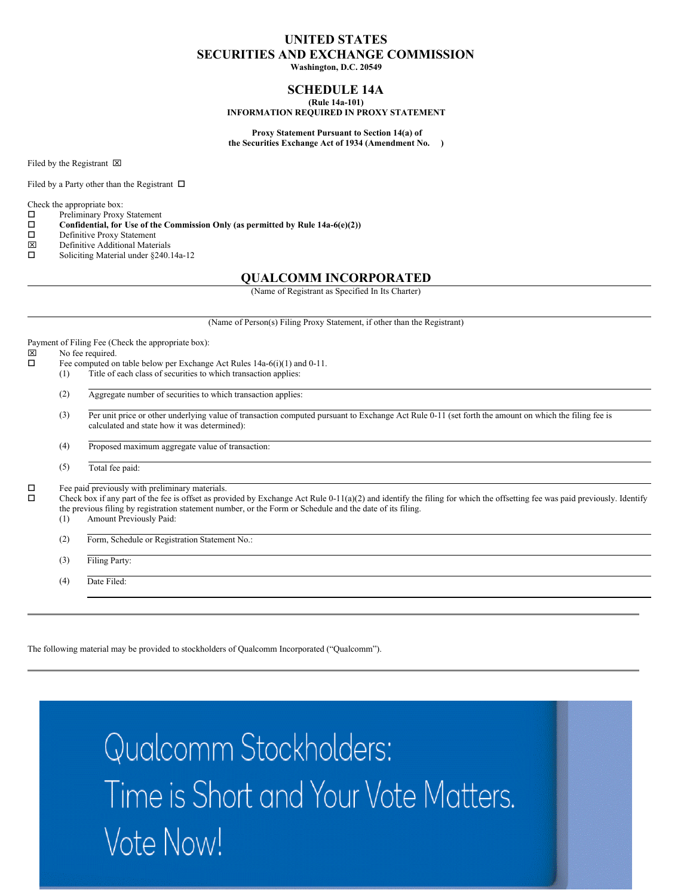#### **UNITED STATES SECURITIES AND EXCHANGE COMMISSION**

**Washington, D.C. 20549**

#### **SCHEDULE 14A (Rule 14a-101)**

**INFORMATION REQUIRED IN PROXY STATEMENT**

**Proxy Statement Pursuant to Section 14(a) of the Securities Exchange Act of 1934 (Amendment No. )**

Filed by the Registrant  $\boxtimes$ 

Filed by a Party other than the Registrant  $\Box$ 

Check the appropriate box:

- $\square$  Preliminary Proxy Statement<br> $\square$  Confidential, for Use of the
- **Confidential, for** Use of the Commission Only (as permitted by Rule 14a-6(e)(2))  $\Box$  Definitive Proxy Statement
- $\square$  Definitive Proxy Statement<br> $\square$  Definitive Additional Mater
- $\boxtimes$  Definitive Additional Materials<br>  $\square$  Soliciting Material under 8240.
- Soliciting Material under §240.14a-12

#### **QUALCOMM INCORPORATED**

(Name of Registrant as Specified In Its Charter)

|        |     | (Name of Person(s) Filing Proxy Statement, if other than the Registrant)                                                                                                                                                                                                                                                                                               |
|--------|-----|------------------------------------------------------------------------------------------------------------------------------------------------------------------------------------------------------------------------------------------------------------------------------------------------------------------------------------------------------------------------|
|        |     | Payment of Filing Fee (Check the appropriate box):                                                                                                                                                                                                                                                                                                                     |
| ⊠      |     | No fee required.                                                                                                                                                                                                                                                                                                                                                       |
| П      |     | Fee computed on table below per Exchange Act Rules $14a-6(i)(1)$ and $0-11$ .                                                                                                                                                                                                                                                                                          |
|        | (1) | Title of each class of securities to which transaction applies:                                                                                                                                                                                                                                                                                                        |
|        | (2) | Aggregate number of securities to which transaction applies:                                                                                                                                                                                                                                                                                                           |
|        | (3) | Per unit price or other underlying value of transaction computed pursuant to Exchange Act Rule 0-11 (set forth the amount on which the filing fee is<br>calculated and state how it was determined):                                                                                                                                                                   |
|        | (4) | Proposed maximum aggregate value of transaction:                                                                                                                                                                                                                                                                                                                       |
|        | (5) | Total fee paid:                                                                                                                                                                                                                                                                                                                                                        |
| Д<br>П | (1) | Fee paid previously with preliminary materials.<br>Check box if any part of the fee is offset as provided by Exchange Act Rule $0-11(a)(2)$ and identify the filing for which the offsetting fee was paid previously. Identify<br>the previous filing by registration statement number, or the Form or Schedule and the date of its filing.<br>Amount Previously Paid: |
|        | (2) | Form, Schedule or Registration Statement No.:                                                                                                                                                                                                                                                                                                                          |
|        | (3) | Filing Party:                                                                                                                                                                                                                                                                                                                                                          |
|        | (4) | Date Filed:                                                                                                                                                                                                                                                                                                                                                            |

The following material may be provided to stockholders of Qualcomm Incorporated ("Qualcomm").

Qualcomm Stockholders: Time is Short and Your Vote Matters. Vote Now!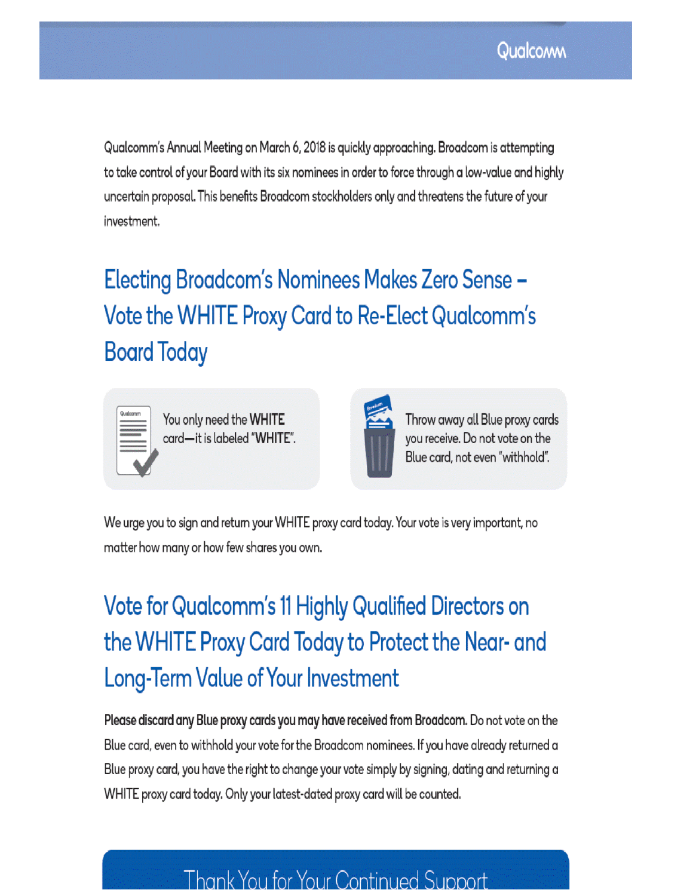Qualcomm's Annual Meeting on March 6, 2018 is quickly approaching. Broadcom is attempting to take control of your Board with its six nominees in order to force through a low-value and highly uncertain proposal. This benefits Broadcom stockholders only and threatens the future of your investment.

Electing Broadcom's Nominees Makes Zero Sense -Vote the WHITE Proxy Card to Re-Elect Qualcomm's **Board Today** 

| <b><i><i><u><u>OSSENTATION</u></u></i></i></b> | Qualcomm                                            |  |
|------------------------------------------------|-----------------------------------------------------|--|
|                                                | <b>ARCHITECTS</b>                                   |  |
| executives                                     | <b>EXAMINATION VALUE</b><br><b>MARKETIN STARTED</b> |  |
|                                                |                                                     |  |

You only need the WHITE card-it is labeled "WHITE".



Throw away all Blue proxy cards you receive. Do not vote on the Blue card, not even "withhold".

We urge you to sign and return your WHITE proxy card today. Your vote is very important, no matter how many or how few shares you own.

# Vote for Qualcomm's 11 Highly Qualified Directors on the WHITE Proxy Card Today to Protect the Near- and **Long-Term Value of Your Investment**

Please discard any Blue proxy cards you may have received from Broadcom. Do not vote on the Blue card, even to withhold your vote for the Broadcom nominees. If you have already returned a Blue proxy card, you have the right to change your vote simply by signing, dating and returning a WHITE proxy card today. Only your latest-dated proxy card will be counted.

# **Thank You for Your Continued Support**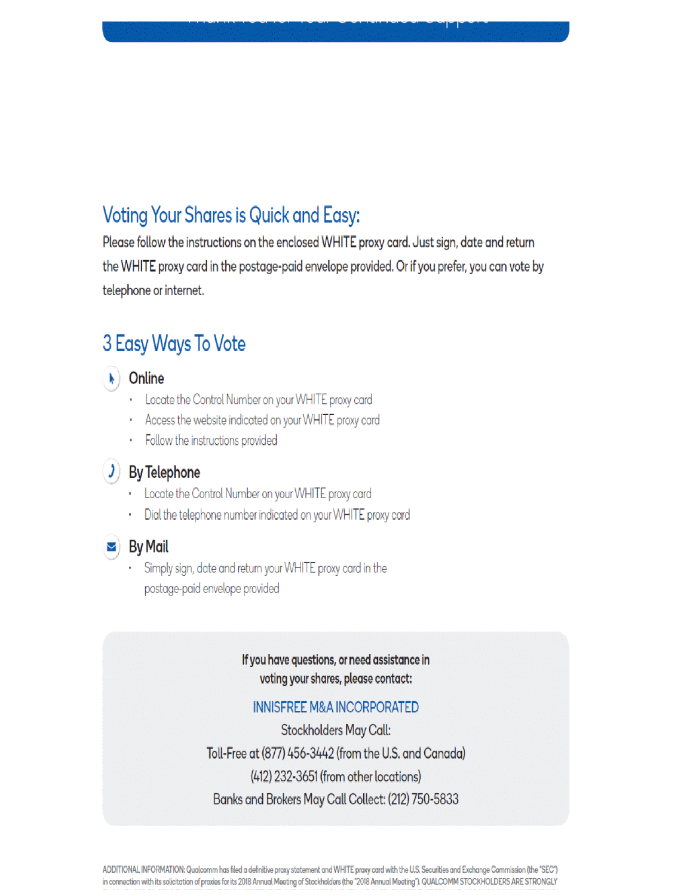## **Voting Your Shares is Quick and Easy:**

Please follow the instructions on the enclosed WHITE proxy card. Just sign, date and return the WHITE proxy card in the postage-paid envelope provided. Or if you prefer, you can vote by telephone or internet.

## 3 Easy Ways To Vote

## $\blacktriangleright$  Online

- Locate the Control Number on your WHITE proxy card
- Access the website indicated on your WHITE proxy card
- Follow the instructions provided

## $J$  By Telephone

- Locate the Control Number on your WHITE proxy card
- Dial the telephone number indicated on your WHITE proxy card
- 

#### $\geq$  By Mail

Simply sign, date and return your WHITE proxy card in the postage-paid envelope provided

### If you have questions, or need assistance in voting your shares, please contact:

#### **INNISFREE M&A INCORPORATED**

**Stockholders May Call:** Toll-Free at (877) 456-3442 (from the U.S. and Canada) (412) 232-3651 (from other locations) Banks and Brokers May Call Collect: (212) 750-5833

ADDITIONAL INFORMATION: Qualcomm has filed a definitive proxy statement and WHITE proxy card with the U.S. Securities and Exchange Commission (the "SEC") in connection with its solicitation of proxies for its 2018 Annual Meeting of Stockholders (the "2018 Annual Meeting"). QUALCOMM STOCKHOLDERS ARE STRONGLY